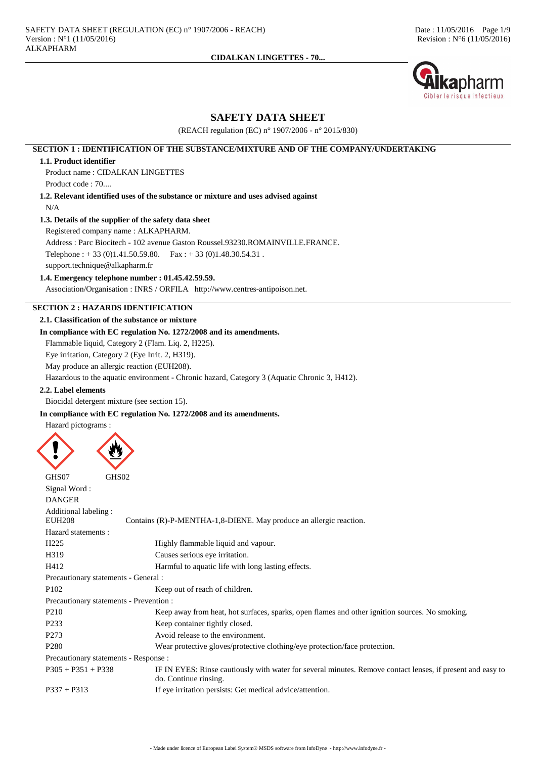

## **SAFETY DATA SHEET**

(REACH regulation (EC) n° 1907/2006 - n° 2015/830)

## **SECTION 1 : IDENTIFICATION OF THE SUBSTANCE/MIXTURE AND OF THE COMPANY/UNDERTAKING**

#### **1.1. Product identifier**

Product name : CIDALKAN LINGETTES

Product code : 70....

**1.2. Relevant identified uses of the substance or mixture and uses advised against** N/A

#### **1.3. Details of the supplier of the safety data sheet**

Registered company name : ALKAPHARM.

Address : Parc Biocitech - 102 avenue Gaston Roussel.93230.ROMAINVILLE.FRANCE. Telephone :  $+ 33 (0)1.41.50.59.80$ . Fax :  $+ 33 (0)1.48.30.54.31$ .

support.technique@alkapharm.fr

# **1.4. Emergency telephone number : 01.45.42.59.59.**

Association/Organisation : INRS / ORFILA http://www.centres-antipoison.net.

### **SECTION 2 : HAZARDS IDENTIFICATION**

### **2.1. Classification of the substance or mixture**

## **In compliance with EC regulation No. 1272/2008 and its amendments.**

Flammable liquid, Category 2 (Flam. Liq. 2, H225).

Eye irritation, Category 2 (Eye Irrit. 2, H319).

May produce an allergic reaction (EUH208).

Hazardous to the aquatic environment - Chronic hazard, Category 3 (Aquatic Chronic 3, H412).

## **2.2. Label elements**

Biocidal detergent mixture (see section 15).

## **In compliance with EC regulation No. 1272/2008 and its amendments.**

Hazard pictograms :

```
GHS07 GHS02
Signal Word :
DANGER
Additional labeling :
                  Contains (R)-P-MENTHA-1,8-DIENE. May produce an allergic reaction.
Hazard statements :
H225 Highly flammable liquid and vapour.
H319 Causes serious eye irritation.
H412 Harmful to aquatic life with long lasting effects.
Precautionary statements - General :
P102 Keep out of reach of children.
Precautionary statements - Prevention :
P210 Keep away from heat, hot surfaces, sparks, open flames and other ignition sources. No smoking.
P233 Keep container tightly closed.
P273 Avoid release to the environment.
P280 Wear protective gloves/protective clothing/eye protection/face protection.
Precautionary statements - Response :
P305 + P351 + P338 IF IN EYES: Rinse cautiously with water for several minutes. Remove contact lenses, if present and easy to
                         do. Continue rinsing.
P337 + P313 If eye irritation persists: Get medical advice/attention.
```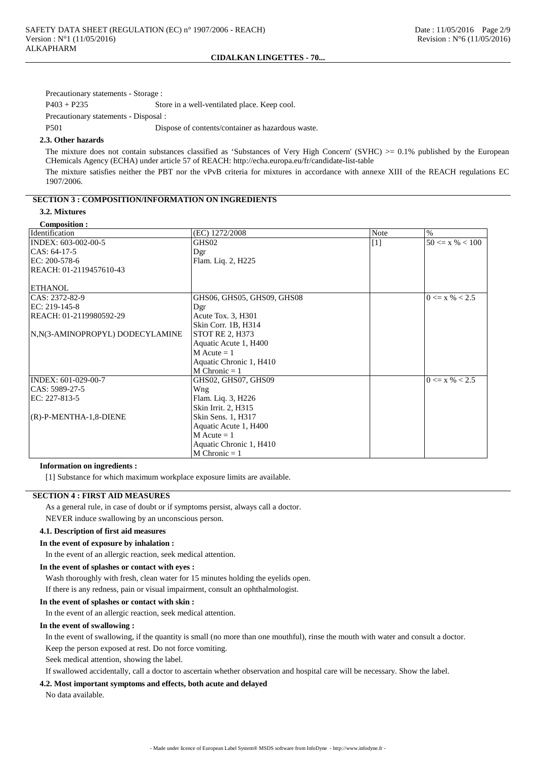Precautionary statements - Storage :

P403 + P235 Store in a well-ventilated place. Keep cool.

Precautionary statements - Disposal :

P501 Dispose of contents/container as hazardous waste.

#### **2.3. Other hazards**

The mixture does not contain substances classified as 'Substances of Very High Concern' (SVHC)  $>0.1\%$  published by the European CHemicals Agency (ECHA) under article 57 of REACH: http://echa.europa.eu/fr/candidate-list-table

The mixture satisfies neither the PBT nor the vPvB criteria for mixtures in accordance with annexe XIII of the REACH regulations EC 1907/2006.

#### **SECTION 3 : COMPOSITION/INFORMATION ON INGREDIENTS**

## **3.2. Mixtures**

#### **Composition :**

| Composition .<br>Identification  | (EC) 1272/2008             | <b>Note</b> | $\%$                |
|----------------------------------|----------------------------|-------------|---------------------|
| INDEX: 603-002-00-5              | GHS02                      | $[1]$       | $50 \le x \% < 100$ |
| $CAS: 64-17-5$                   | Dgr                        |             |                     |
| EC: 200-578-6                    | Flam. Liq. 2, H225         |             |                     |
| REACH: 01-2119457610-43          |                            |             |                     |
|                                  |                            |             |                     |
| <b>ETHANOL</b>                   |                            |             |                     |
| CAS: 2372-82-9                   | GHS06, GHS05, GHS09, GHS08 |             | $0 \le x \% < 2.5$  |
| EC: 219-145-8                    | Dgr                        |             |                     |
| REACH: 01-2119980592-29          | Acute Tox. 3, H301         |             |                     |
|                                  | Skin Corr. 1B, H314        |             |                     |
| N, N(3-AMINOPROPYL) DODECYLAMINE | <b>STOT RE 2, H373</b>     |             |                     |
|                                  | Aquatic Acute 1, H400      |             |                     |
|                                  | $M$ Acute = 1              |             |                     |
|                                  | Aquatic Chronic 1, H410    |             |                     |
|                                  | M Chronic $= 1$            |             |                     |
| INDEX: 601-029-00-7              | GHS02, GHS07, GHS09        |             | $0 \le x \% < 2.5$  |
| CAS: 5989-27-5                   | Wng                        |             |                     |
| EC: 227-813-5                    | Flam. Liq. 3, H226         |             |                     |
|                                  | Skin Irrit. 2, H315        |             |                     |
| $(R)$ -P-MENTHA-1,8-DIENE        | Skin Sens. 1, H317         |             |                     |
|                                  | Aquatic Acute 1, H400      |             |                     |
|                                  | $M$ Acute = 1              |             |                     |
|                                  | Aquatic Chronic 1, H410    |             |                     |
|                                  | $M$ Chronic = 1            |             |                     |

#### **Information on ingredients :**

[1] Substance for which maximum workplace exposure limits are available.

#### **SECTION 4 : FIRST AID MEASURES**

As a general rule, in case of doubt or if symptoms persist, always call a doctor.

NEVER induce swallowing by an unconscious person.

## **4.1. Description of first aid measures**

#### **In the event of exposure by inhalation :**

In the event of an allergic reaction, seek medical attention.

#### **In the event of splashes or contact with eyes :**

Wash thoroughly with fresh, clean water for 15 minutes holding the eyelids open.

If there is any redness, pain or visual impairment, consult an ophthalmologist.

## **In the event of splashes or contact with skin :**

In the event of an allergic reaction, seek medical attention.

#### **In the event of swallowing :**

In the event of swallowing, if the quantity is small (no more than one mouthful), rinse the mouth with water and consult a doctor. Keep the person exposed at rest. Do not force vomiting.

Seek medical attention, showing the label.

If swallowed accidentally, call a doctor to ascertain whether observation and hospital care will be necessary. Show the label.

## **4.2. Most important symptoms and effects, both acute and delayed**

No data available.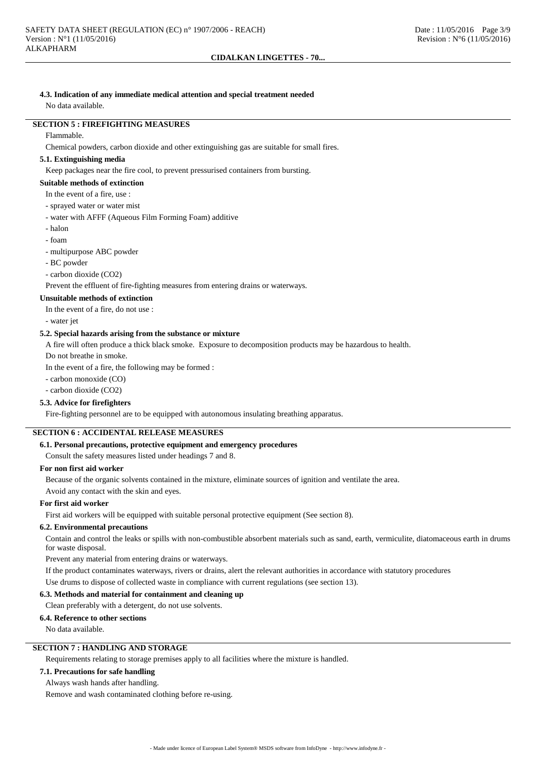## **4.3. Indication of any immediate medical attention and special treatment needed**

No data available.

## **SECTION 5 : FIREFIGHTING MEASURES**

#### Flammable.

Chemical powders, carbon dioxide and other extinguishing gas are suitable for small fires.

### **5.1. Extinguishing media**

Keep packages near the fire cool, to prevent pressurised containers from bursting.

## **Suitable methods of extinction**

- In the event of a fire, use :
- sprayed water or water mist
- water with AFFF (Aqueous Film Forming Foam) additive
- halon
- foam
- multipurpose ABC powder
- BC powder
- carbon dioxide (CO2)

Prevent the effluent of fire-fighting measures from entering drains or waterways.

## **Unsuitable methods of extinction**

In the event of a fire, do not use :

- water jet

## **5.2. Special hazards arising from the substance or mixture**

A fire will often produce a thick black smoke. Exposure to decomposition products may be hazardous to health.

Do not breathe in smoke.

In the event of a fire, the following may be formed :

- carbon monoxide (CO)
- carbon dioxide (CO2)

## **5.3. Advice for firefighters**

Fire-fighting personnel are to be equipped with autonomous insulating breathing apparatus.

## **SECTION 6 : ACCIDENTAL RELEASE MEASURES**

#### **6.1. Personal precautions, protective equipment and emergency procedures**

Consult the safety measures listed under headings 7 and 8.

## **For non first aid worker**

Because of the organic solvents contained in the mixture, eliminate sources of ignition and ventilate the area.

Avoid any contact with the skin and eyes.

## **For first aid worker**

First aid workers will be equipped with suitable personal protective equipment (See section 8).

#### **6.2. Environmental precautions**

Contain and control the leaks or spills with non-combustible absorbent materials such as sand, earth, vermiculite, diatomaceous earth in drums for waste disposal.

Prevent any material from entering drains or waterways.

If the product contaminates waterways, rivers or drains, alert the relevant authorities in accordance with statutory procedures Use drums to dispose of collected waste in compliance with current regulations (see section 13).

#### **6.3. Methods and material for containment and cleaning up**

Clean preferably with a detergent, do not use solvents.

#### **6.4. Reference to other sections**

No data available.

## **SECTION 7 : HANDLING AND STORAGE**

Requirements relating to storage premises apply to all facilities where the mixture is handled.

#### **7.1. Precautions for safe handling**

Always wash hands after handling.

Remove and wash contaminated clothing before re-using.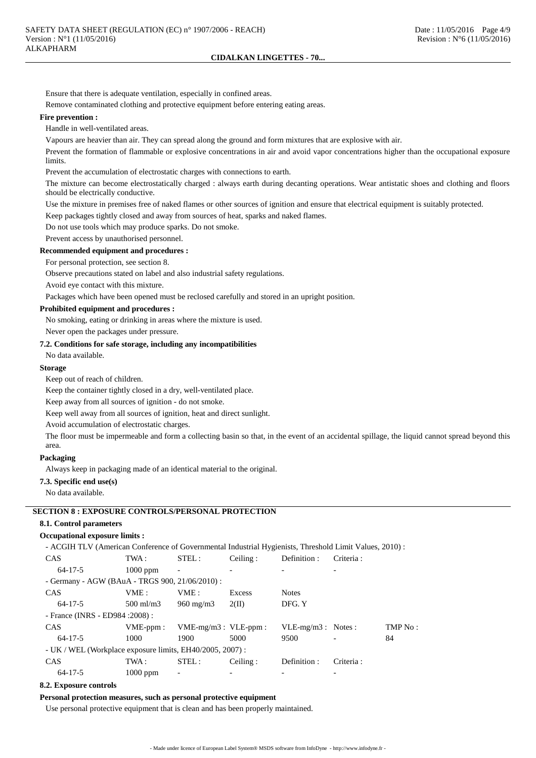Ensure that there is adequate ventilation, especially in confined areas.

Remove contaminated clothing and protective equipment before entering eating areas.

#### **Fire prevention :**

Handle in well-ventilated areas.

Vapours are heavier than air. They can spread along the ground and form mixtures that are explosive with air.

Prevent the formation of flammable or explosive concentrations in air and avoid vapor concentrations higher than the occupational exposure limits.

Prevent the accumulation of electrostatic charges with connections to earth.

The mixture can become electrostatically charged : always earth during decanting operations. Wear antistatic shoes and clothing and floors should be electrically conductive.

Use the mixture in premises free of naked flames or other sources of ignition and ensure that electrical equipment is suitably protected.

Keep packages tightly closed and away from sources of heat, sparks and naked flames.

Do not use tools which may produce sparks. Do not smoke.

Prevent access by unauthorised personnel.

**Recommended equipment and procedures :**

For personal protection, see section 8.

Observe precautions stated on label and also industrial safety regulations.

Avoid eye contact with this mixture.

Packages which have been opened must be reclosed carefully and stored in an upright position.

## **Prohibited equipment and procedures :**

No smoking, eating or drinking in areas where the mixture is used.

Never open the packages under pressure.

#### **7.2. Conditions for safe storage, including any incompatibilities**

No data available.

#### **Storage**

Keep out of reach of children.

Keep the container tightly closed in a dry, well-ventilated place.

Keep away from all sources of ignition - do not smoke.

Keep well away from all sources of ignition, heat and direct sunlight.

Avoid accumulation of electrostatic charges.

The floor must be impermeable and form a collecting basin so that, in the event of an accidental spillage, the liquid cannot spread beyond this area.

## **Packaging**

Always keep in packaging made of an identical material to the original.

### **7.3. Specific end use(s)**

No data available.

## **SECTION 8 : EXPOSURE CONTROLS/PERSONAL PROTECTION**

#### **8.1. Control parameters**

#### **Occupational exposure limits :**

- ACGIH TLV (American Conference of Governmental Industrial Hygienists, Threshold Limit Values, 2010) :

| <b>CAS</b>                                                | TWA :                | STEL:                     | Ceiling: | Definition :         | Criteria:  |         |
|-----------------------------------------------------------|----------------------|---------------------------|----------|----------------------|------------|---------|
| $64 - 17 - 5$                                             | $1000$ ppm           | $\overline{\phantom{a}}$  |          |                      |            |         |
| - Germany - AGW (BAuA - TRGS 900, 21/06/2010) :           |                      |                           |          |                      |            |         |
| CAS                                                       | VME:                 | VME:                      | Excess   | <b>Notes</b>         |            |         |
| $64 - 17 - 5$                                             | $500 \text{ ml/m}$ 3 | $960 \text{ mg/m}$        | 2(II)    | DFG. Y               |            |         |
| - France (INRS - ED984 : 2008) :                          |                      |                           |          |                      |            |         |
| <b>CAS</b>                                                | $VME-ppm$ :          | $VME-mg/m3$ : $VLE-ppm$ : |          | $VLE-mg/m3$ : Notes: |            | TMP No: |
| $64 - 17 - 5$                                             | 1000                 | 1900                      | 5000     | 9500                 |            | 84      |
| - UK / WEL (Workplace exposure limits, EH40/2005, 2007) : |                      |                           |          |                      |            |         |
| CAS                                                       | TWA :                | STEL:                     | Ceiling: | Definition:          | Criteria : |         |
| $64 - 17 - 5$                                             | $1000$ ppm           | $\overline{\phantom{a}}$  |          |                      |            |         |
|                                                           |                      |                           |          |                      |            |         |

### **8.2. Exposure controls**

#### **Personal protection measures, such as personal protective equipment**

Use personal protective equipment that is clean and has been properly maintained.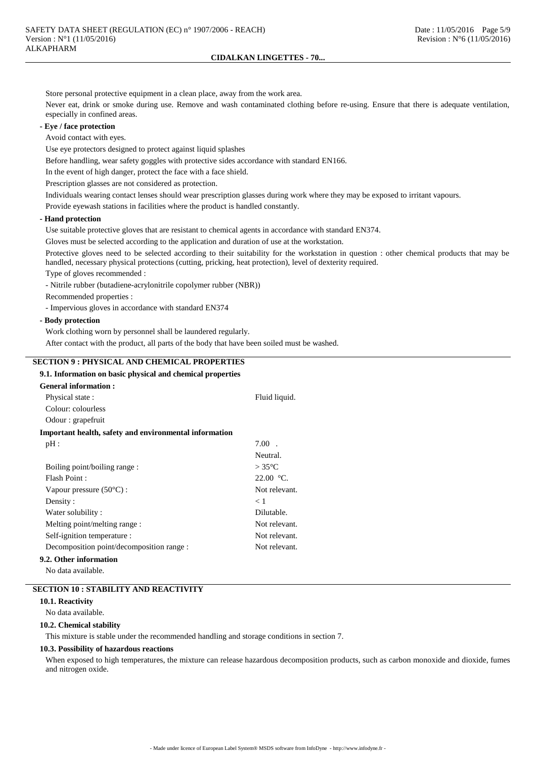Store personal protective equipment in a clean place, away from the work area.

Never eat, drink or smoke during use. Remove and wash contaminated clothing before re-using. Ensure that there is adequate ventilation, especially in confined areas.

## **- Eye / face protection**

Avoid contact with eyes.

Use eye protectors designed to protect against liquid splashes

Before handling, wear safety goggles with protective sides accordance with standard EN166.

In the event of high danger, protect the face with a face shield.

Prescription glasses are not considered as protection.

Individuals wearing contact lenses should wear prescription glasses during work where they may be exposed to irritant vapours.

Provide eyewash stations in facilities where the product is handled constantly.

#### **- Hand protection**

Use suitable protective gloves that are resistant to chemical agents in accordance with standard EN374.

Gloves must be selected according to the application and duration of use at the workstation.

Protective gloves need to be selected according to their suitability for the workstation in question : other chemical products that may be handled, necessary physical protections (cutting, pricking, heat protection), level of dexterity required.

Type of gloves recommended :

- Nitrile rubber (butadiene-acrylonitrile copolymer rubber (NBR))

Recommended properties :

- Impervious gloves in accordance with standard EN374

### **- Body protection**

Work clothing worn by personnel shall be laundered regularly.

After contact with the product, all parts of the body that have been soiled must be washed.

## **SECTION 9 : PHYSICAL AND CHEMICAL PROPERTIES**

#### **9.1. Information on basic physical and chemical properties**

| <b>General information:</b>                            |                 |
|--------------------------------------------------------|-----------------|
| Physical state:                                        | Fluid liquid.   |
| Colour: colourless                                     |                 |
| Odour : grapefruit                                     |                 |
| Important health, safety and environmental information |                 |
| pH:                                                    | $7.00$ .        |
|                                                        | Neutral.        |
| Boiling point/boiling range :                          | $>35^{\circ}$ C |
| Flash Point:                                           | 22.00 °C        |
| Vapour pressure $(50^{\circ}C)$ :                      | Not relevant.   |
| Density:                                               | < 1             |
| Water solubility:                                      | Dilutable.      |
| Melting point/melting range:                           | Not relevant.   |
| Self-ignition temperature :                            | Not relevant.   |
| Decomposition point/decomposition range :              | Not relevant.   |
| 9.2. Other information                                 |                 |

No data available.

## **SECTION 10 : STABILITY AND REACTIVITY**

#### **10.1. Reactivity**

No data available.

#### **10.2. Chemical stability**

This mixture is stable under the recommended handling and storage conditions in section 7.

#### **10.3. Possibility of hazardous reactions**

When exposed to high temperatures, the mixture can release hazardous decomposition products, such as carbon monoxide and dioxide, fumes and nitrogen oxide.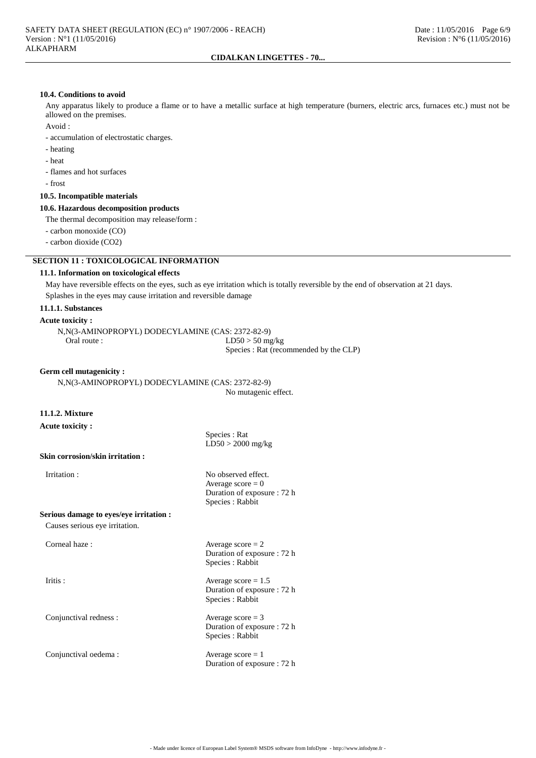## **10.4. Conditions to avoid**

Any apparatus likely to produce a flame or to have a metallic surface at high temperature (burners, electric arcs, furnaces etc.) must not be allowed on the premises.

Avoid :

- accumulation of electrostatic charges.

- heating
- heat

- flames and hot surfaces

- frost

**10.5. Incompatible materials**

### **10.6. Hazardous decomposition products**

The thermal decomposition may release/form :

- carbon monoxide (CO)

- carbon dioxide (CO2)

## **SECTION 11 : TOXICOLOGICAL INFORMATION**

## **11.1. Information on toxicological effects**

May have reversible effects on the eyes, such as eye irritation which is totally reversible by the end of observation at 21 days. Splashes in the eyes may cause irritation and reversible damage

## **11.1.1. Substances**

### **Acute toxicity :**

N,N(3-AMINOPROPYL) DODECYLAMINE (CAS: 2372-82-9) Oral route :  $LD50 > 50$  mg/kg Species : Rat (recommended by the CLP)

#### **Germ cell mutagenicity :**

N,N(3-AMINOPROPYL) DODECYLAMINE (CAS: 2372-82-9) No mutagenic effect.

## **11.1.2. Mixture**

## **Acute toxicity :**

Species : Rat LD50 > 2000 mg/kg

Average  $score = 0$ Duration of exposure : 72 h

Species : Rabbit

#### **Skin corrosion/skin irritation :**

Irritation : No observed effect.

**Serious damage to eyes/eye irritation :**

Causes serious eye irritation.

Corneal haze :  $\triangle$  Average score = 2

Conjunctival redness : Average score = 3

Conjunctival oedema : Average score = 1

Duration of exposure : 72 h Species : Rabbit

Iritis : Average score = 1.5 Duration of exposure : 72 h Species : Rabbit

> Duration of exposure : 72 h Species : Rabbit

Duration of exposure : 72 h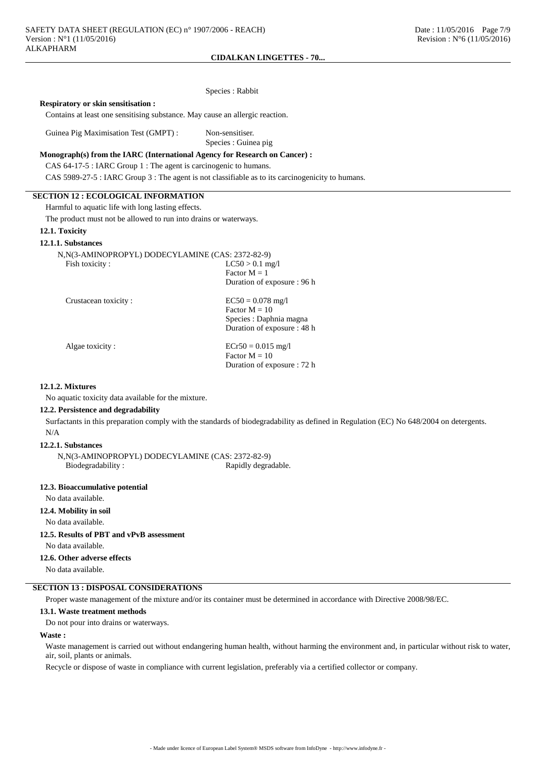**Respiratory or skin sensitisation :**

Contains at least one sensitising substance. May cause an allergic reaction.

Guinea Pig Maximisation Test (GMPT) : Non-sensitiser.

Species : Guinea pig

Species : Rabbit

#### **Monograph(s) from the IARC (International Agency for Research on Cancer) :**

CAS 64-17-5 : IARC Group 1 : The agent is carcinogenic to humans.

CAS 5989-27-5 : IARC Group 3 : The agent is not classifiable as to its carcinogenicity to humans.

## **SECTION 12 : ECOLOGICAL INFORMATION**

Harmful to aquatic life with long lasting effects.

The product must not be allowed to run into drains or waterways.

## **12.1. Toxicity**

## **12.1.1. Substances**

| N, N(3-AMINOPROPYL) DODECYLAMINE (CAS: 2372-82-9) |                             |
|---------------------------------------------------|-----------------------------|
| Fish toxicity:                                    | $LC50 > 0.1$ mg/l           |
|                                                   | Factor $M = 1$              |
|                                                   | Duration of exposure : 96 h |
| Crustacean toxicity:                              | $EC50 = 0.078$ mg/l         |
|                                                   | Factor $M = 10$             |
|                                                   | Species : Daphnia magna     |
|                                                   | Duration of exposure : 48 h |
| Algae toxicity:                                   | $ECr50 = 0.015$ mg/l        |
|                                                   | Factor $M = 10$             |

#### **12.1.2. Mixtures**

No aquatic toxicity data available for the mixture.

#### **12.2. Persistence and degradability**

Surfactants in this preparation comply with the standards of biodegradability as defined in Regulation (EC) No 648/2004 on detergents. N/A

Duration of exposure : 72 h

#### **12.2.1. Substances**

N,N(3-AMINOPROPYL) DODECYLAMINE (CAS: 2372-82-9) Biodegradability : Rapidly degradable.

#### **12.3. Bioaccumulative potential**

No data available.

## **12.4. Mobility in soil**

No data available.

**12.5. Results of PBT and vPvB assessment**

No data available.

## **12.6. Other adverse effects**

No data available.

## **SECTION 13 : DISPOSAL CONSIDERATIONS**

Proper waste management of the mixture and/or its container must be determined in accordance with Directive 2008/98/EC.

#### **13.1. Waste treatment methods**

Do not pour into drains or waterways.

## **Waste :**

Waste management is carried out without endangering human health, without harming the environment and, in particular without risk to water, air, soil, plants or animals.

Recycle or dispose of waste in compliance with current legislation, preferably via a certified collector or company.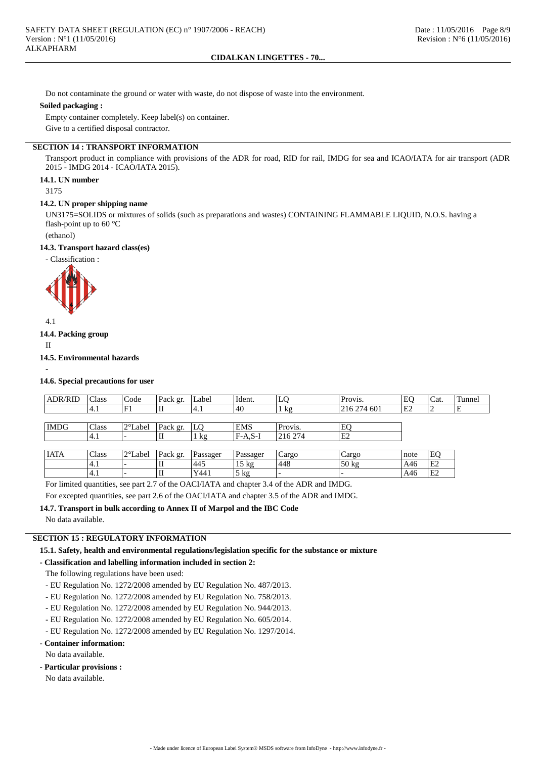Do not contaminate the ground or water with waste, do not dispose of waste into the environment.

### **Soiled packaging :**

Empty container completely. Keep label(s) on container. Give to a certified disposal contractor.

## **SECTION 14 : TRANSPORT INFORMATION**

Transport product in compliance with provisions of the ADR for road, RID for rail, IMDG for sea and ICAO/IATA for air transport (ADR 2015 - IMDG 2014 - ICAO/IATA 2015).

## **14.1. UN number**

3175

#### **14.2. UN proper shipping name**

UN3175=SOLIDS or mixtures of solids (such as preparations and wastes) CONTAINING FLAMMABLE LIQUID, N.O.S. having a flash-point up to 60 °C

(ethanol)

## **14.3. Transport hazard class(es)**

- Classification :



4.1

## **14.4. Packing group**

II

-

#### **14.5. Environmental hazards**

**14.6. Special precautions for user**

| <b>ADR/RID</b> | Class | Code    | Pack gr. | Label    | Ident.          | LQ             | Provis.         | EO   | Cat. | Tunnel |
|----------------|-------|---------|----------|----------|-----------------|----------------|-----------------|------|------|--------|
|                | 4.1   | F1      | IІ       | 14.1     | 40              | $1 \text{ kg}$ | 216 274 601     | E2   | ∠    | E      |
|                |       |         |          |          |                 |                |                 |      |      |        |
| <b>IMDG</b>    | Class | 2°Label | Pack gr. | LQ       | <b>EMS</b>      | Provis.        | EQ              |      |      |        |
|                | '4.1  |         | IІ       | kg       | $FA.S-I$        | 216 274        | E2              |      |      |        |
|                |       |         |          |          |                 |                |                 |      |      |        |
| <b>IATA</b>    | Class | 2°Label | Pack gr. | Passager | Passager        | Cargo          | Cargo           | note | EQ   |        |
|                | '4.1  |         | IІ       | 445      | $15 \text{ kg}$ | 448            | $50 \text{ kg}$ | A46  | E2   |        |
|                | '4.1  |         | II       | Y441     | 5 kg            |                |                 | A46  | E2   |        |

For limited quantities, see part 2.7 of the OACI/IATA and chapter 3.4 of the ADR and IMDG.

For excepted quantities, see part 2.6 of the OACI/IATA and chapter 3.5 of the ADR and IMDG.

**14.7. Transport in bulk according to Annex II of Marpol and the IBC Code**

No data available.

## **SECTION 15 : REGULATORY INFORMATION**

**15.1. Safety, health and environmental regulations/legislation specific for the substance or mixture**

### **- Classification and labelling information included in section 2:**

The following regulations have been used:

- EU Regulation No. 1272/2008 amended by EU Regulation No. 487/2013.
- EU Regulation No. 1272/2008 amended by EU Regulation No. 758/2013.
- EU Regulation No. 1272/2008 amended by EU Regulation No. 944/2013.
- EU Regulation No. 1272/2008 amended by EU Regulation No. 605/2014.
- EU Regulation No. 1272/2008 amended by EU Regulation No. 1297/2014.

## **- Container information:**

No data available.

### **- Particular provisions :**

No data available.